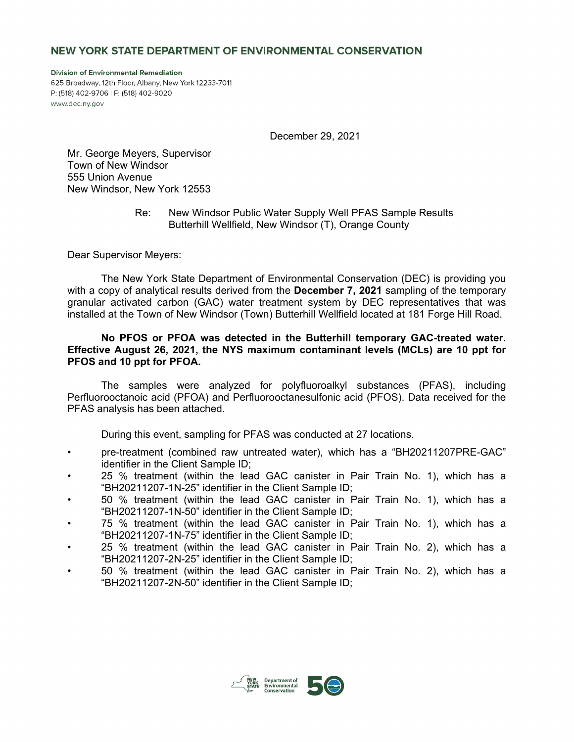## NEW YORK STATE DEPARTMENT OF ENVIRONMENTAL CONSERVATION

**Division of Environmental Remediation** 625 Broadway, 12th Floor, Albany, New York 12233-7011 P: (518) 402-9706 | F: (518) 402-9020 www.dec.ny.gov

December 29, 2021

Mr. George Meyers, Supervisor Town of New Windsor 555 Union Avenue New Windsor, New York 12553

> Re: New Windsor Public Water Supply Well PFAS Sample Results Butterhill Wellfield, New Windsor (T), Orange County

Dear Supervisor Meyers:

The New York State Department of Environmental Conservation (DEC) is providing you with a copy of analytical results derived from the **December 7, 2021** sampling of the temporary granular activated carbon (GAC) water treatment system by DEC representatives that was installed at the Town of New Windsor (Town) Butterhill Wellfield located at 181 Forge Hill Road.

## **No PFOS or PFOA was detected in the Butterhill temporary GAC-treated water. Effective August 26, 2021, the NYS maximum contaminant levels (MCLs) are 10 ppt for PFOS and 10 ppt for PFOA.**

The samples were analyzed for polyfluoroalkyl substances (PFAS), including Perfluorooctanoic acid (PFOA) and Perfluorooctanesulfonic acid (PFOS). Data received for the PFAS analysis has been attached.

During this event, sampling for PFAS was conducted at 27 locations.

- pre-treatment (combined raw untreated water), which has a "BH20211207PRE-GAC" identifier in the Client Sample ID;
- 25 % treatment (within the lead GAC canister in Pair Train No. 1), which has a "BH20211207-1N-25" identifier in the Client Sample ID;
- 50 % treatment (within the lead GAC canister in Pair Train No. 1), which has a "BH20211207-1N-50" identifier in the Client Sample ID;
- 75 % treatment (within the lead GAC canister in Pair Train No. 1), which has a "BH20211207-1N-75" identifier in the Client Sample ID;
- 25 % treatment (within the lead GAC canister in Pair Train No. 2), which has a "BH20211207-2N-25" identifier in the Client Sample ID;
- 50 % treatment (within the lead GAC canister in Pair Train No. 2), which has a "BH20211207-2N-50" identifier in the Client Sample ID;

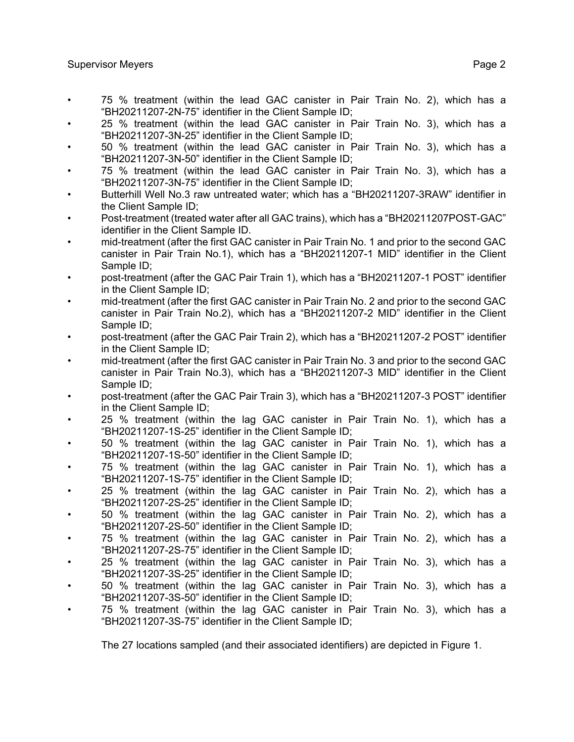## Supervisor Meyers Page 2

- 75 % treatment (within the lead GAC canister in Pair Train No. 2), which has a "BH20211207-2N-75" identifier in the Client Sample ID;
- 25 % treatment (within the lead GAC canister in Pair Train No. 3), which has a "BH20211207-3N-25" identifier in the Client Sample ID;
- 50 % treatment (within the lead GAC canister in Pair Train No. 3), which has a "BH20211207-3N-50" identifier in the Client Sample ID;
- 75 % treatment (within the lead GAC canister in Pair Train No. 3), which has a "BH20211207-3N-75" identifier in the Client Sample ID;
- Butterhill Well No.3 raw untreated water; which has a "BH20211207-3RAW" identifier in the Client Sample ID;
- Post-treatment (treated water after all GAC trains), which has a "BH20211207POST-GAC" identifier in the Client Sample ID.
- mid-treatment (after the first GAC canister in Pair Train No. 1 and prior to the second GAC canister in Pair Train No.1), which has a "BH20211207-1 MID" identifier in the Client Sample ID;
- post-treatment (after the GAC Pair Train 1), which has a "BH20211207-1 POST" identifier in the Client Sample ID;
- mid-treatment (after the first GAC canister in Pair Train No. 2 and prior to the second GAC canister in Pair Train No.2), which has a "BH20211207-2 MID" identifier in the Client Sample ID;
- post-treatment (after the GAC Pair Train 2), which has a "BH20211207-2 POST" identifier in the Client Sample ID;
- mid-treatment (after the first GAC canister in Pair Train No. 3 and prior to the second GAC canister in Pair Train No.3), which has a "BH20211207-3 MID" identifier in the Client Sample ID;
- post-treatment (after the GAC Pair Train 3), which has a "BH20211207-3 POST" identifier in the Client Sample ID;
- 25 % treatment (within the lag GAC canister in Pair Train No. 1), which has a "BH20211207-1S-25" identifier in the Client Sample ID;
- 50 % treatment (within the lag GAC canister in Pair Train No. 1), which has a "BH20211207-1S-50" identifier in the Client Sample ID;
- 75 % treatment (within the lag GAC canister in Pair Train No. 1), which has a "BH20211207-1S-75" identifier in the Client Sample ID;
- 25 % treatment (within the lag GAC canister in Pair Train No. 2), which has a "BH20211207-2S-25" identifier in the Client Sample ID;
- 50 % treatment (within the lag GAC canister in Pair Train No. 2), which has a "BH20211207-2S-50" identifier in the Client Sample ID;
- 75 % treatment (within the lag GAC canister in Pair Train No. 2), which has a "BH20211207-2S-75" identifier in the Client Sample ID;
- 25 % treatment (within the lag GAC canister in Pair Train No. 3), which has a "BH20211207-3S-25" identifier in the Client Sample ID;
- 50 % treatment (within the lag GAC canister in Pair Train No. 3), which has a "BH20211207-3S-50" identifier in the Client Sample ID;
- 75 % treatment (within the lag GAC canister in Pair Train No. 3), which has a "BH20211207-3S-75" identifier in the Client Sample ID;

The 27 locations sampled (and their associated identifiers) are depicted in Figure 1.